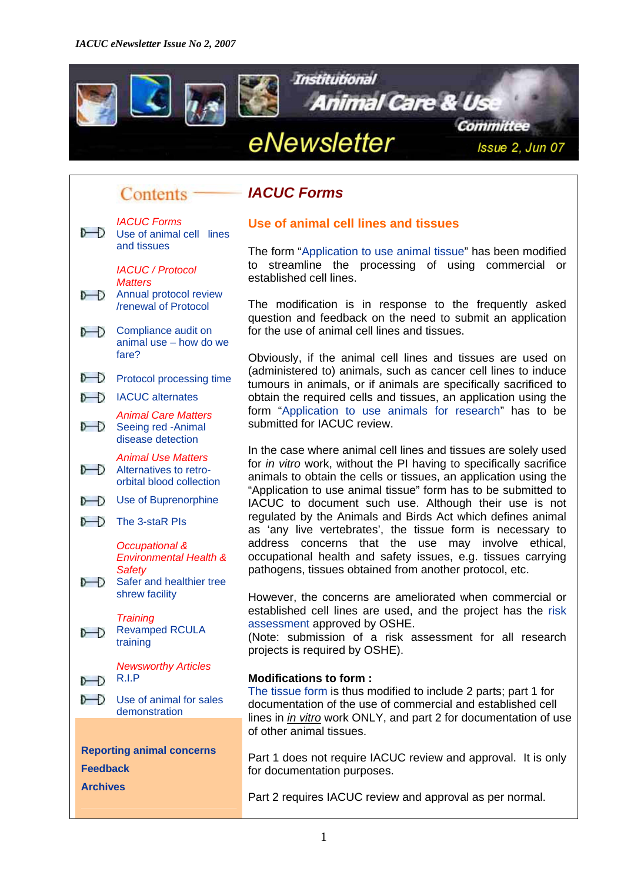<span id="page-0-0"></span>

#### *IACUC Forms* Contents -



### **Use of animal cell lines and tissues** *IACUC Forms*

The form "[Application to use animal tissue](http://www.nus.edu.sg/iacuc/pages/use_animal_tissues_app.html)" has been modified to streamline the processing of using commercial or

[/renewal of Protocol](#page-1-0) The modification is in response to the frequently asked question and feedback on the need to submit an application **Compliance audit on** for the use of animal cell lines and tissues.

> Obviously, if the animal cell lines and tissues are used on (administered to) animals, such as cancer cell lines to induce tumours in animals, or if animals are specifically sacrificed to obtain the required cells and tissues, an application using the form ["Application to use animals for research](http://www.nus.edu.sg/iacuc/pages/use_animals_for_research_app.html)" has to be submitted for IACUC review.

> In the case where animal cell lines and tissues are solely used for *in vitro* work, without the PI having to specifically sacrifice animals to obtain the cells or tissues, an application using the "Application to use animal tissue" form has to be submitted to IACUC to document such use. Although their use is not regulated by the Animals and Birds Act which defines animal as 'any live vertebrates', the tissue form is necessary to address concerns that the use may involve ethical, occupational health and safety issues, e.g. tissues carrying pathogens, tissues obtained from another protocol, etc.

However, the concerns are ameliorated when commercial or established cell lines are used, and the project has the [risk](https://wws.nus.edu.sg/osh/nus_manuals/ra/ra_form040507web.doc)  [assessment](https://wws.nus.edu.sg/osh/nus_manuals/ra/ra_form040507web.doc) approved by OSHE. *Training*

[training](#page-11-0) (Note: submission of a risk assessment for all research projects is required by OSHE).

[The tissue form](http://www.nus.edu.sg/iacuc/iacuc_forms/use_animal_tissues/Tissue.doc) is thus modified to include 2 parts; part 1 for documentation of the use of commercial and established cell lines in *in vitro* work ONLY, and part 2 for documentation of use of other animal tissues.

**[Reporting animal concerns](http://www.nus.edu.sg/iacuc/pages/reporting_form.html)**<br>
Part 1 does not require IACUC review and approval. It is only<br>
for documentation purposes for documentation purposes.

Part 2 requires IACUC review and approval as per normal.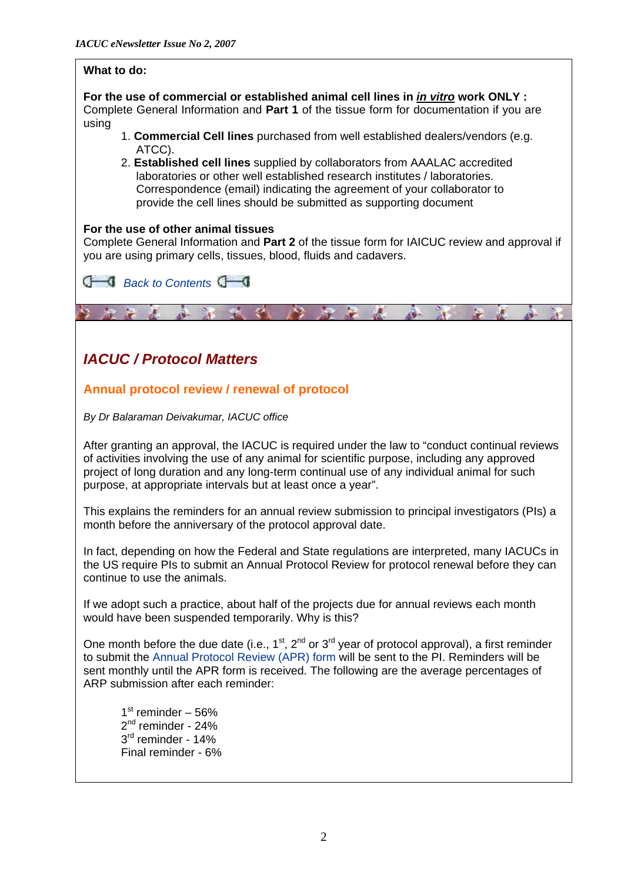<span id="page-1-0"></span>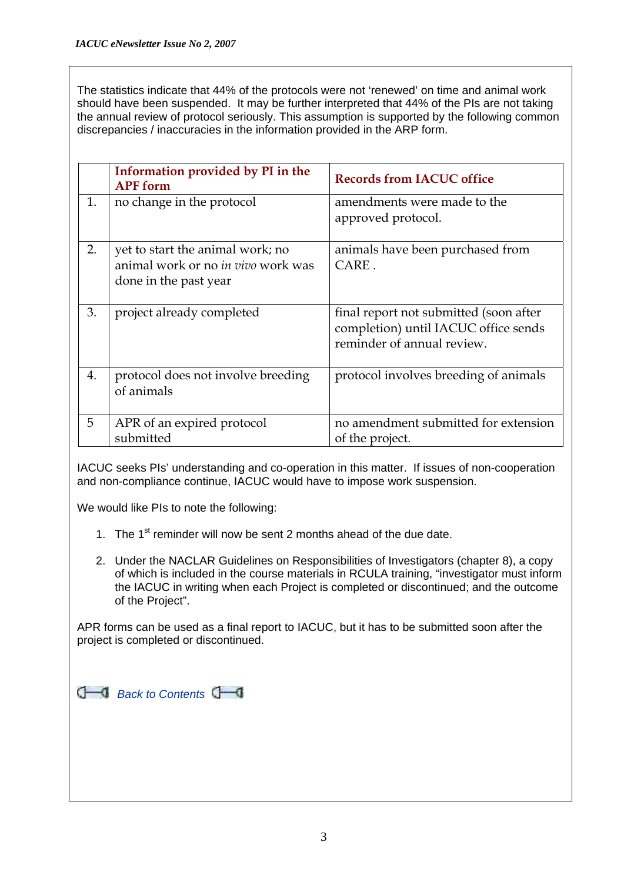The statistics indicate that 44% of the protocols were not 'renewed' on time and animal work should have been suspended. It may be further interpreted that 44% of the PIs are not taking the annual review of protocol seriously. This assumption is supported by the following common discrepancies / inaccuracies in the information provided in the ARP form.

|    | Information provided by PI in the<br><b>APF</b> form                                            | <b>Records from IACUC office</b>                                                                             |
|----|-------------------------------------------------------------------------------------------------|--------------------------------------------------------------------------------------------------------------|
| 1. | no change in the protocol                                                                       | amendments were made to the<br>approved protocol.                                                            |
| 2. | yet to start the animal work; no<br>animal work or no in vivo work was<br>done in the past year | animals have been purchased from<br>CARE.                                                                    |
| 3. | project already completed                                                                       | final report not submitted (soon after<br>completion) until IACUC office sends<br>reminder of annual review. |
| 4. | protocol does not involve breeding<br>of animals                                                | protocol involves breeding of animals                                                                        |
| 5  | APR of an expired protocol<br>submitted                                                         | no amendment submitted for extension<br>of the project.                                                      |

IACUC seeks PIs' understanding and co-operation in this matter. If issues of non-cooperation and non-compliance continue, IACUC would have to impose work suspension.

We would like PIs to note the following:

- 1. The  $1<sup>st</sup>$  reminder will now be sent 2 months ahead of the due date.
- 2. Under the NACLAR Guidelines on Responsibilities of Investigators (chapter 8), a copy of which is included in the course materials in RCULA training, "investigator must inform the IACUC in writing when each Project is completed or discontinued; and the outcome of the Project".

APR forms can be used as a final report to IACUC, but it has to be submitted soon after the project is completed or discontinued.

|  | <b>1</b> Back to Contents |  |
|--|---------------------------|--|
|--|---------------------------|--|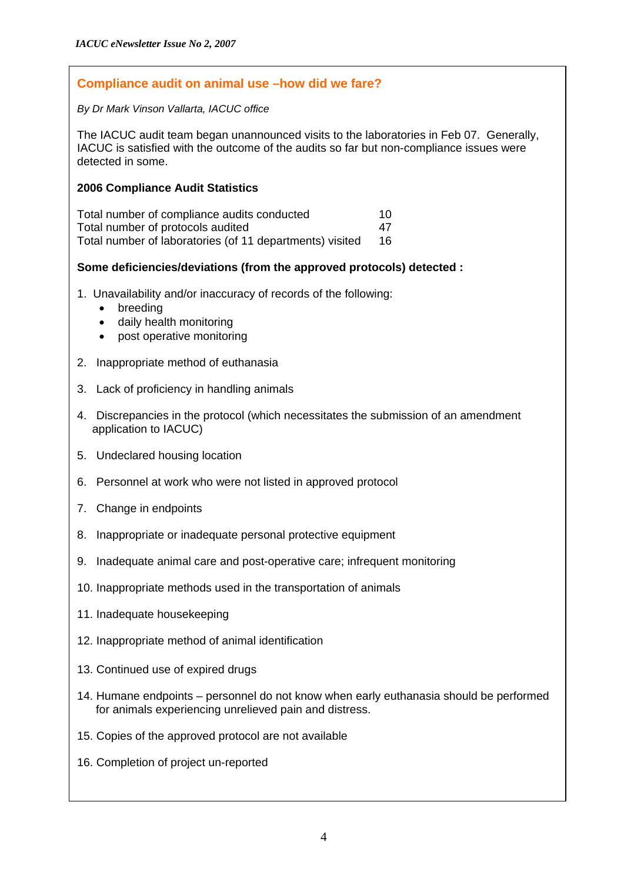### <span id="page-3-0"></span>**Compliance audit on animal use –how did we fare?**

#### *By Dr Mark Vinson Vallarta, IACUC office*

The IACUC audit team began unannounced visits to the laboratories in Feb 07. Generally, IACUC is satisfied with the outcome of the audits so far but non-compliance issues were detected in some.

### **2006 Compliance Audit Statistics**

| Total number of compliance audits conducted              | 10 |
|----------------------------------------------------------|----|
| Total number of protocols audited                        | 47 |
| Total number of laboratories (of 11 departments) visited | 16 |

### **Some deficiencies/deviations (from the approved protocols) detected :**

- 1. Unavailability and/or inaccuracy of records of the following:
	- breeding
	- daily health monitoring
	- post operative monitoring
- 2. Inappropriate method of euthanasia
- 3. Lack of proficiency in handling animals
- 4. Discrepancies in the protocol (which necessitates the submission of an amendment application to IACUC)
- 5. Undeclared housing location
- 6. Personnel at work who were not listed in approved protocol
- 7. Change in endpoints
- 8. Inappropriate or inadequate personal protective equipment
- 9. Inadequate animal care and post-operative care; infrequent monitoring
- 10. Inappropriate methods used in the transportation of animals
- 11. Inadequate housekeeping
- 12. Inappropriate method of animal identification
- 13. Continued use of expired drugs
- 14. Humane endpoints personnel do not know when early euthanasia should be performed for animals experiencing unrelieved pain and distress.
- 15. Copies of the approved protocol are not available
- 16. Completion of project un-reported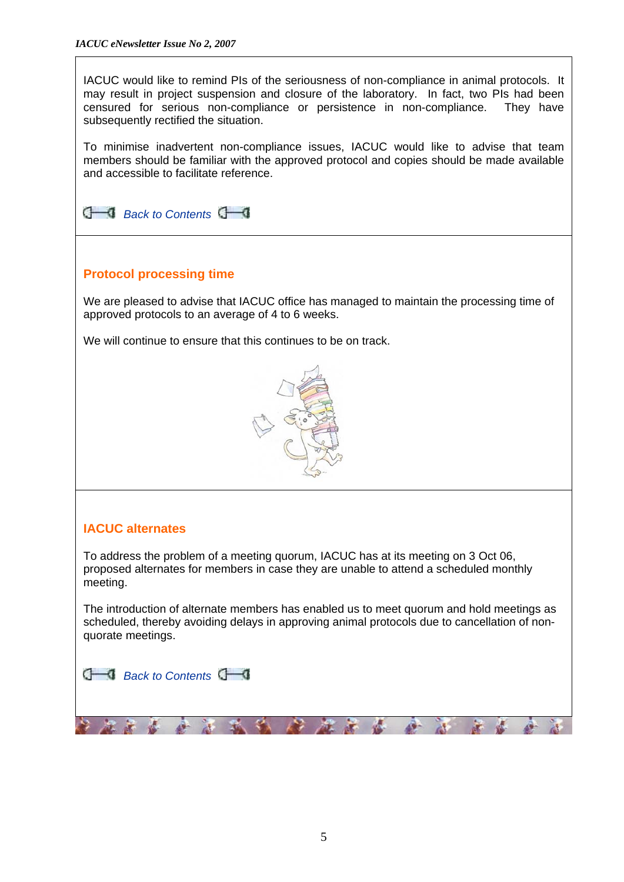<span id="page-4-0"></span>IACUC would like to remind PIs of the seriousness of non-compliance in animal protocols. It may result in project suspension and closure of the laboratory. In fact, two PIs had been censured for serious non-compliance or persistence in non-compliance. They have subsequently rectified the situation.

To minimise inadvertent non-compliance issues, IACUC would like to advise that team members should be familiar with the approved protocol and copies should be made available and accessible to facilitate reference.



## **Protocol processing time**

We are pleased to advise that IACUC office has managed to maintain the processing time of approved protocols to an average of 4 to 6 weeks.

We will continue to ensure that this continues to be on track.



# **IACUC alternates**

To address the problem of a meeting quorum, IACUC has at its meeting on 3 Oct 06, proposed alternates for members in case they are unable to attend a scheduled monthly meeting.

The introduction of alternate members has enabled us to meet quorum and hold meetings as scheduled, thereby avoiding delays in approving animal protocols due to cancellation of nonquorate meetings.

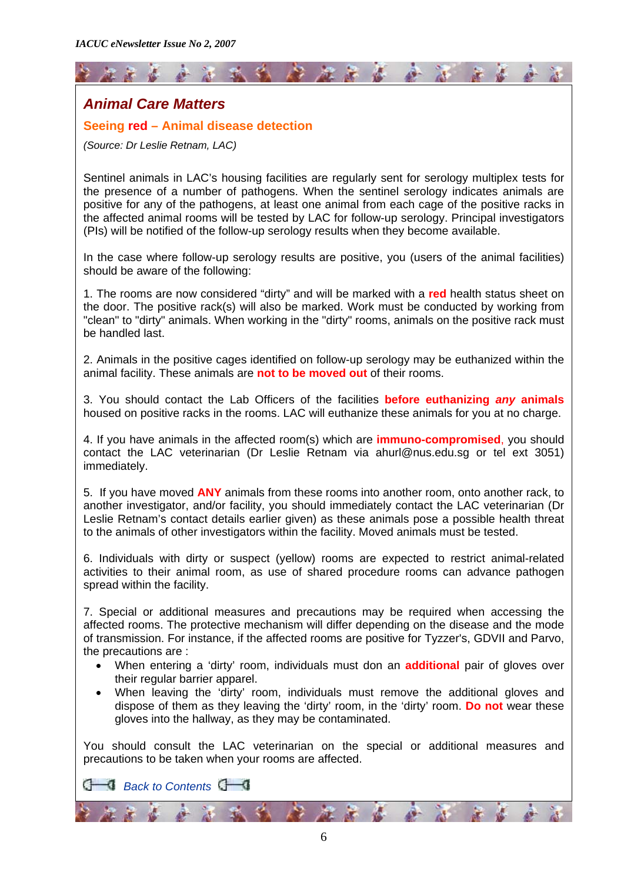<span id="page-5-0"></span>

### **Seeing red – Animal disease detection**

*(Source: Dr Leslie Retnam, LAC)* 

Sentinel animals in LAC's housing facilities are regularly sent for serology multiplex tests for the presence of a number of pathogens. When the sentinel serology indicates animals are positive for any of the pathogens, at least one animal from each cage of the positive racks in the affected animal rooms will be tested by LAC for follow-up serology. Principal investigators (PIs) will be notified of the follow-up serology results when they become available.

In the case where follow-up serology results are positive, you (users of the animal facilities) should be aware of the following:

1. The rooms are now considered "dirty" and will be marked with a **red** health status sheet on the door. The positive rack(s) will also be marked. Work must be conducted by working from "clean" to "dirty" animals. When working in the "dirty" rooms, animals on the positive rack must be handled last.

2. Animals in the positive cages identified on follow-up serology may be euthanized within the animal facility. These animals are **not to be moved out** of their rooms.

3. You should contact the Lab Officers of the facilities **before euthanizing** *any* **animals** housed on positive racks in the rooms. LAC will euthanize these animals for you at no charge.

4. If you have animals in the affected room(s) which are **immuno-compromised**, you should contact the LAC veterinarian (Dr Leslie Retnam via [ahurl@nus.edu.sg](mailto:ahurl@nus.edu.sg) or tel ext 3051) immediately.

5. If you have moved **ANY** animals from these rooms into another room, onto another rack, to another investigator, and/or facility, you should immediately contact the LAC veterinarian (Dr Leslie Retnam's contact details earlier given) as these animals pose a possible health threat to the animals of other investigators within the facility. Moved animals must be tested.

6. Individuals with dirty or suspect (yellow) rooms are expected to restrict animal-related activities to their animal room, as use of shared procedure rooms can advance pathogen spread within the facility.

7. Special or additional measures and precautions may be required when accessing the affected rooms. The protective mechanism will differ depending on the disease and the mode of transmission. For instance, if the affected rooms are positive for Tyzzer's, GDVII and Parvo, the precautions are :

- When entering a 'dirty' room, individuals must don an **additional** pair of gloves over their regular barrier apparel.
- When leaving the 'dirty' room, individuals must remove the additional gloves and dispose of them as they leaving the 'dirty' room, in the 'dirty' room. **Do not** wear these gloves into the hallway, as they may be contaminated.

You should consult the LAC veterinarian on the special or additional measures and precautions to be taken when your rooms are affected.

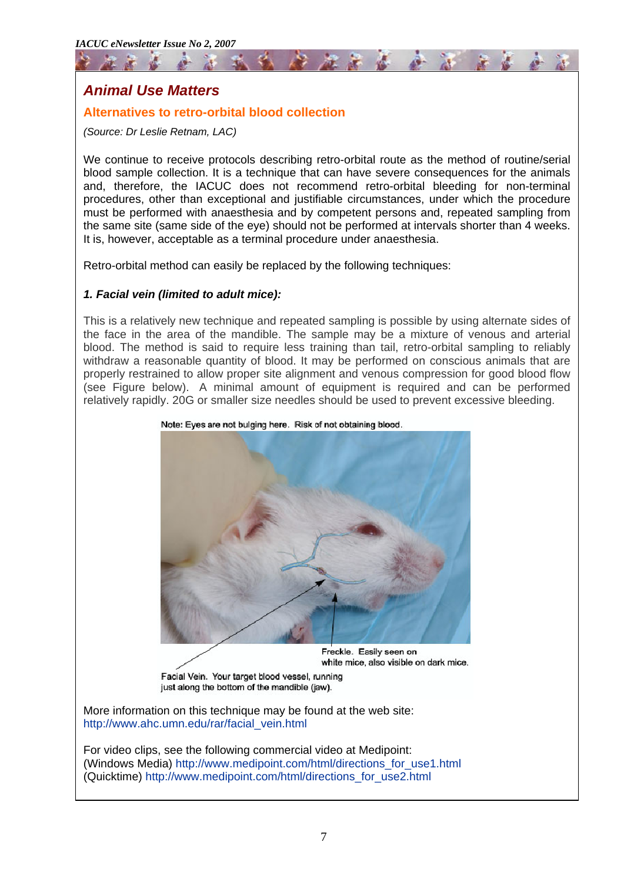# <span id="page-6-0"></span>*Animal Use Matters*

### **Alternatives to retro-orbital blood collection**

*(Source: Dr Leslie Retnam, LAC)* 

We continue to receive protocols describing retro-orbital route as the method of routine/serial blood sample collection. It is a technique that can have severe consequences for the animals and, therefore, the IACUC does not recommend retro-orbital bleeding for non-terminal procedures, other than exceptional and justifiable circumstances, under which the procedure must be performed with anaesthesia and by competent persons and, repeated sampling from the same site (same side of the eye) should not be performed at intervals shorter than 4 weeks. It is, however, acceptable as a terminal procedure under anaesthesia.

Retro-orbital method can easily be replaced by the following techniques:

### *1. Facial vein (limited to adult mice):*

This is a relatively new technique and repeated sampling is possible by using alternate sides of the face in the area of the mandible. The sample may be a mixture of venous and arterial blood. The method is said to require less training than tail, retro-orbital sampling to reliably withdraw a reasonable quantity of blood. It may be performed on conscious animals that are properly restrained to allow proper site alignment and venous compression for good blood flow (see Figure below). A minimal amount of equipment is required and can be performed relatively rapidly. 20G or smaller size needles should be used to prevent excessive bleeding.



Note: Eyes are not bulging here. Risk of not obtaining blood.

Facial Vein. Your target blood vessel, running just along the bottom of the mandible (jaw).

More information on this technique may be found at the web site: [http://www.ahc.umn.edu/rar/facial\\_vein.html](http://www.ahc.umn.edu/rar/facial_vein.html)

For video clips, see the following commercial video at Medipoint: (Windows Media) [http://www.medipoint.com/html/directions\\_for\\_use1.html](http://www.medipoint.com/html/directions_for_use1.html) (Quicktime) [http://www.medipoint.com/html/directions\\_for\\_use2.html](http://www.medipoint.com/html/directions_for_use2.html)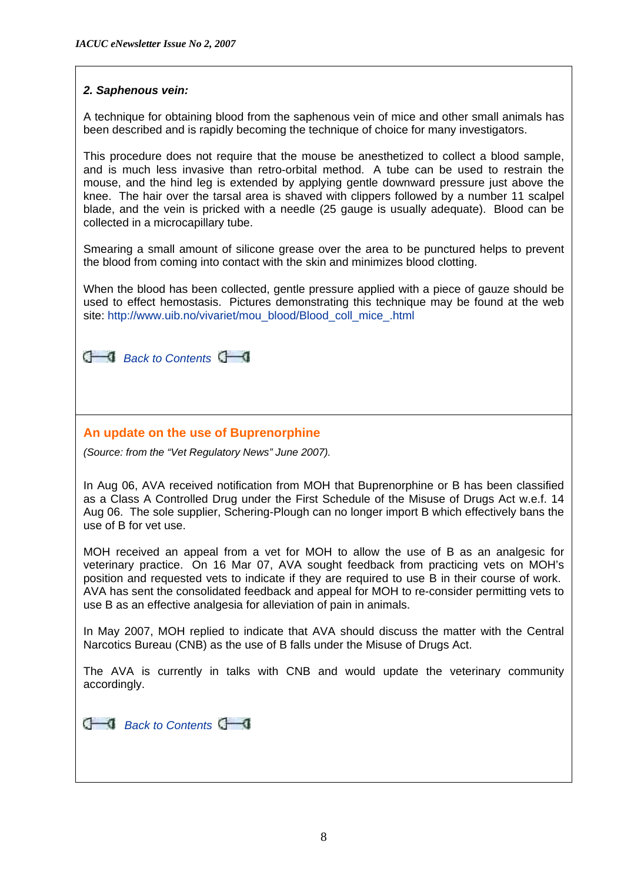### <span id="page-7-0"></span>*2. Saphenous vein:*

A technique for obtaining blood from the saphenous vein of mice and other small animals has been described and is rapidly becoming the technique of choice for many investigators.

This procedure does not require that the mouse be anesthetized to collect a blood sample, and is much less invasive than retro-orbital method. A tube can be used to restrain the mouse, and the hind leg is extended by applying gentle downward pressure just above the knee. The hair over the tarsal area is shaved with clippers followed by a number 11 scalpel blade, and the vein is pricked with a needle (25 gauge is usually adequate). Blood can be collected in a microcapillary tube.

Smearing a small amount of silicone grease over the area to be punctured helps to prevent the blood from coming into contact with the skin and minimizes blood clotting.

When the blood has been collected, gentle pressure applied with a piece of gauze should be used to effect hemostasis. Pictures demonstrating this technique may be found at the web site: [http://www.uib.no/vivariet/mou\\_blood/Blood\\_coll\\_mice\\_.html](http://www.uib.no/vivariet/mou_blood/Blood_coll_mice_.html)

**C** [Back to Contents](#page-0-0)

### **An update on the use of Buprenorphine**

*(Source: from the "Vet Regulatory News" June 2007).* 

In Aug 06, AVA received notification from MOH that Buprenorphine or B has been classified as a Class A Controlled Drug under the First Schedule of the Misuse of Drugs Act w.e.f. 14 Aug 06. The sole supplier, Schering-Plough can no longer import B which effectively bans the use of B for vet use.

MOH received an appeal from a vet for MOH to allow the use of B as an analgesic for veterinary practice. On 16 Mar 07, AVA sought feedback from practicing vets on MOH's position and requested vets to indicate if they are required to use B in their course of work. AVA has sent the consolidated feedback and appeal for MOH to re-consider permitting vets to use B as an effective analgesia for alleviation of pain in animals.

In May 2007, MOH replied to indicate that AVA should discuss the matter with the Central Narcotics Bureau (CNB) as the use of B falls under the Misuse of Drugs Act.

The AVA is currently in talks with CNB and would update the veterinary community accordingly.

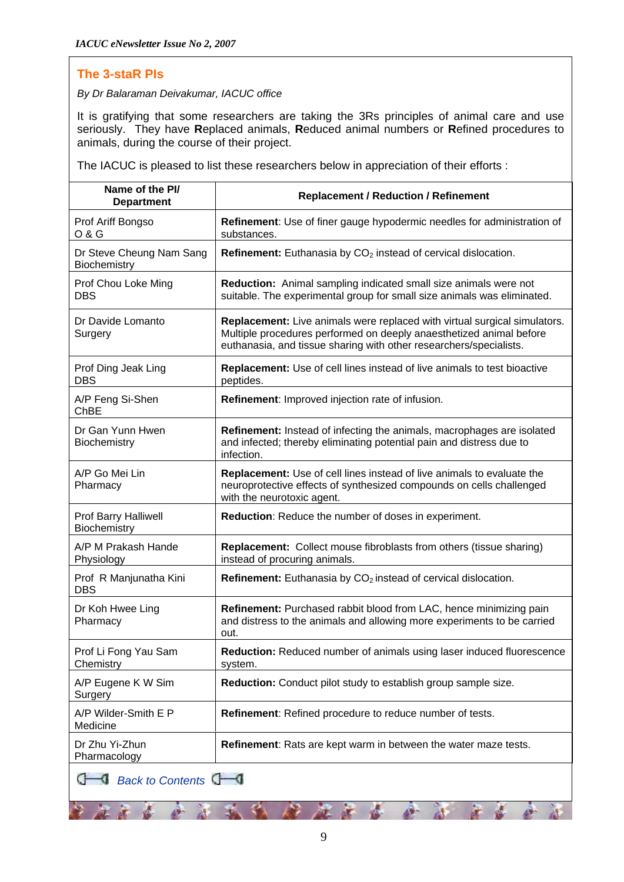2366

 $\mathcal{R}$ 

武学

### <span id="page-8-0"></span>**The 3-staR PIs**

*By Dr Balaraman Deivakumar, IACUC office* 

It is gratifying that some researchers are taking the 3Rs principles of animal care and use seriously. They have **R**eplaced animals, **R**educed animal numbers or **R**efined procedures to animals, during the course of their project.

The IACUC is pleased to list these researchers below in appreciation of their efforts :

| Name of the PI/<br><b>Department</b>     | <b>Replacement / Reduction / Refinement</b>                                                                                                                                                                                   |  |  |
|------------------------------------------|-------------------------------------------------------------------------------------------------------------------------------------------------------------------------------------------------------------------------------|--|--|
| Prof Ariff Bongso<br>0 & G               | <b>Refinement:</b> Use of finer gauge hypodermic needles for administration of<br>substances.                                                                                                                                 |  |  |
| Dr Steve Cheung Nam Sang<br>Biochemistry | <b>Refinement:</b> Euthanasia by $CO2$ instead of cervical dislocation.                                                                                                                                                       |  |  |
| Prof Chou Loke Ming<br>DBS               | Reduction: Animal sampling indicated small size animals were not<br>suitable. The experimental group for small size animals was eliminated.                                                                                   |  |  |
| Dr Davide Lomanto<br>Surgery             | <b>Replacement:</b> Live animals were replaced with virtual surgical simulators.<br>Multiple procedures performed on deeply anaesthetized animal before<br>euthanasia, and tissue sharing with other researchers/specialists. |  |  |
| Prof Ding Jeak Ling<br><b>DBS</b>        | Replacement: Use of cell lines instead of live animals to test bioactive<br>peptides.                                                                                                                                         |  |  |
| A/P Feng Si-Shen<br>ChBE                 | Refinement: Improved injection rate of infusion.                                                                                                                                                                              |  |  |
| Dr Gan Yunn Hwen<br>Biochemistry         | Refinement: Instead of infecting the animals, macrophages are isolated<br>and infected; thereby eliminating potential pain and distress due to<br>infection.                                                                  |  |  |
| A/P Go Mei Lin<br>Pharmacy               | <b>Replacement:</b> Use of cell lines instead of live animals to evaluate the<br>neuroprotective effects of synthesized compounds on cells challenged<br>with the neurotoxic agent.                                           |  |  |
| Prof Barry Halliwell<br>Biochemistry     | <b>Reduction:</b> Reduce the number of doses in experiment.                                                                                                                                                                   |  |  |
| A/P M Prakash Hande<br>Physiology        | <b>Replacement:</b> Collect mouse fibroblasts from others (tissue sharing)<br>instead of procuring animals.                                                                                                                   |  |  |
| Prof R Manjunatha Kini<br><b>DBS</b>     | <b>Refinement:</b> Euthanasia by $CO2$ instead of cervical dislocation.                                                                                                                                                       |  |  |
| Dr Koh Hwee Ling<br>Pharmacy             | Refinement: Purchased rabbit blood from LAC, hence minimizing pain<br>and distress to the animals and allowing more experiments to be carried<br>out.                                                                         |  |  |
| Prof Li Fong Yau Sam<br>Chemistry        | Reduction: Reduced number of animals using laser induced fluorescence<br>system.                                                                                                                                              |  |  |
| A/P Eugene K W Sim<br><b>Surgery</b>     | Reduction: Conduct pilot study to establish group sample size.                                                                                                                                                                |  |  |
| A/P Wilder-Smith E P<br>Medicine         | <b>Refinement:</b> Refined procedure to reduce number of tests.                                                                                                                                                               |  |  |
| Dr Zhu Yi-Zhun<br>Pharmacology           | <b>Refinement:</b> Rats are kept warm in between the water maze tests.                                                                                                                                                        |  |  |
| Back to Contents                         |                                                                                                                                                                                                                               |  |  |

 $\frac{d}{dx}$ 

- 12

綦

 $65888$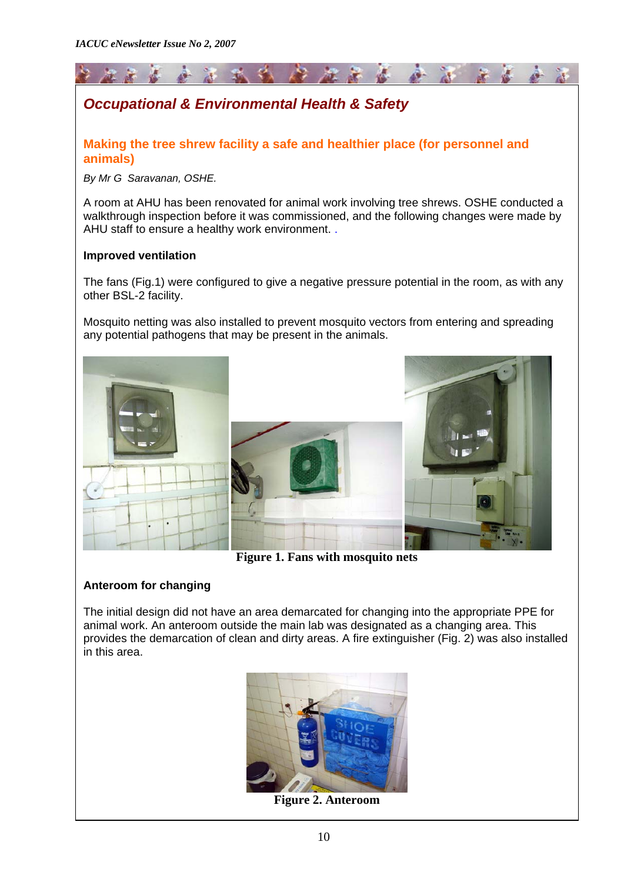<span id="page-9-0"></span>

# *Occupational & Environmental Health & Safety*

**Making the tree shrew facility a safe and healthier place (for personnel and animals)** 

*By Mr G Saravanan, OSHE.* 

A room at AHU has been renovated for animal work involving tree shrews. OSHE conducted a walkthrough inspection before it was commissioned, and the following changes were made by AHU staff to ensure a healthy work environment. .

### **Improved ventilation**

The fans (Fig.1) were configured to give a negative pressure potential in the room, as with any other BSL-2 facility.

Mosquito netting was also installed to prevent mosquito vectors from entering and spreading any potential pathogens that may be present in the animals.



**Figure 1. Fans with mosquito nets** 

### **Anteroom for changing**

The initial design did not have an area demarcated for changing into the appropriate PPE for animal work. An anteroom outside the main lab was designated as a changing area. This provides the demarcation of clean and dirty areas. A fire extinguisher (Fig. 2) was also installed in this area.



**Figure 2. Anteroom**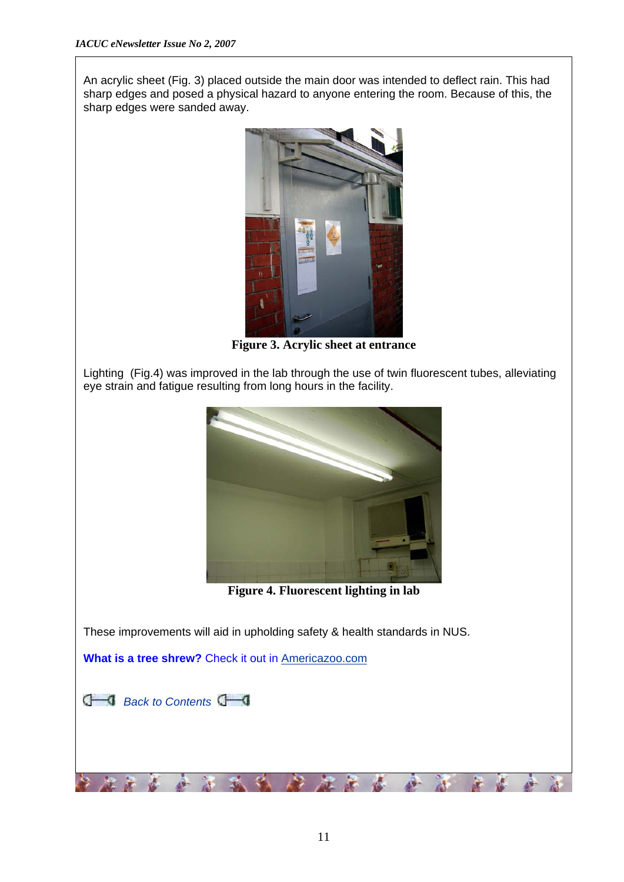An acrylic sheet (Fig. 3) placed outside the main door was intended to deflect rain. This had sharp edges and posed a physical hazard to anyone entering the room. Because of this, the sharp edges were sanded away.



**Figure 3. Acrylic sheet at entrance** 

Lighting (Fig.4) was improved in the lab through the use of twin fluorescent tubes, alleviating eye strain and fatigue resulting from long hours in the facility.



**Figure 4. Fluorescent lighting in lab** 

These improvements will aid in upholding safety & health standards in NUS.

e.

**What is a tree shrew?** Check it out in [Americazoo.com](http://www.americazoo.com/goto/index/mammals/83.htm)



安全部

基

A-

 $\mathcal{L}$ Ķ.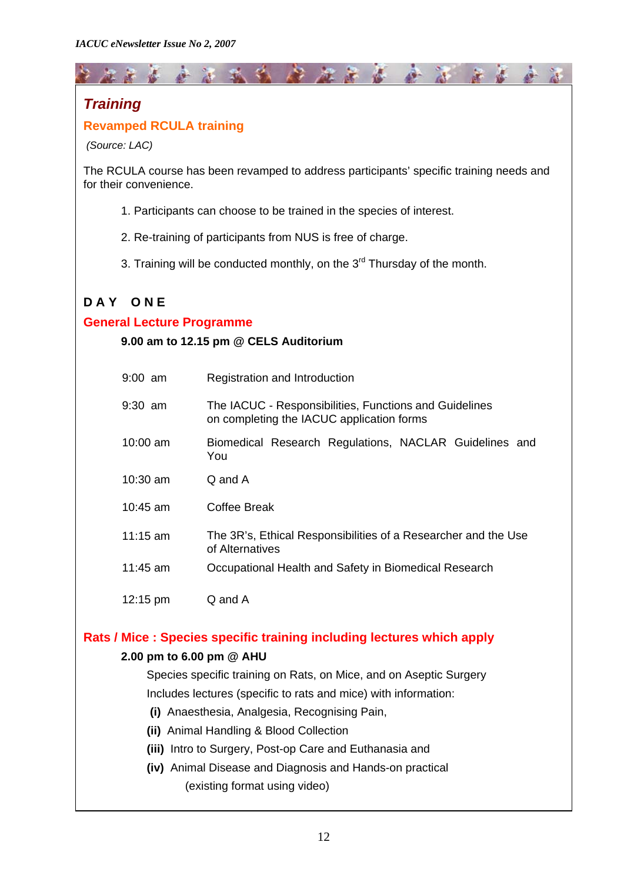# <span id="page-11-0"></span>*Training*

# **Revamped RCULA training**

 *(Source: LAC)* 

The RCULA course has been revamped to address participants' specific training needs and for their convenience.

\* \* \* \* \* \* \* \* \* \* \* \* \*

- 1. Participants can choose to be trained in the species of interest.
- 2. Re-training of participants from NUS is free of charge.
- 3. Training will be conducted monthly, on the  $3<sup>rd</sup>$  Thursday of the month.

# **D A Y O N E**

### **General Lecture Programme**

### **9.00 am to 12.15 pm @ CELS Auditorium**

| $9:00$ am  | Registration and Introduction                                                                       |
|------------|-----------------------------------------------------------------------------------------------------|
| $9:30$ am  | The IACUC - Responsibilities, Functions and Guidelines<br>on completing the IACUC application forms |
| $10:00$ am | Biomedical Research Regulations, NACLAR Guidelines and<br>You                                       |
| $10:30$ am | Q and A                                                                                             |
| $10:45$ am | Coffee Break                                                                                        |
| 11:15 $am$ | The 3R's, Ethical Responsibilities of a Researcher and the Use<br>of Alternatives                   |
| $11:45$ am | Occupational Health and Safety in Biomedical Research                                               |
| 12:15 pm   | Q and A                                                                                             |

### **Rats / Mice : Species specific training including lectures which apply**

### **2.00 pm to 6.00 pm @ AHU**

Species specific training on Rats, on Mice, and on Aseptic Surgery Includes lectures (specific to rats and mice) with information:

- **(i)** Anaesthesia, Analgesia, Recognising Pain,
- **(ii)** Animal Handling & Blood Collection
- **(iii)** Intro to Surgery, Post-op Care and Euthanasia and
- **(iv)** Animal Disease and Diagnosis and Hands-on practical (existing format using video)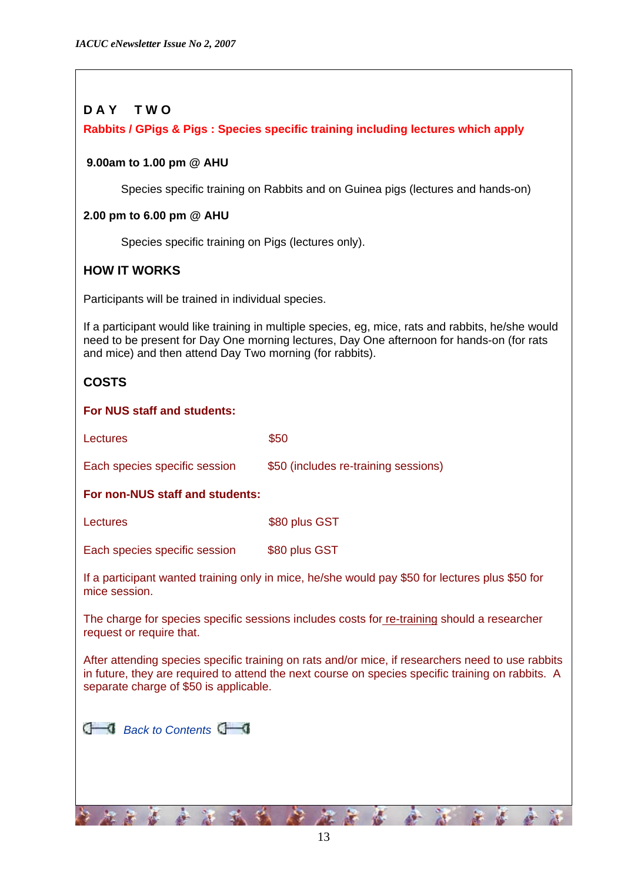# **D A Y T W O**

### **Rabbits / GPigs & Pigs : Species specific training including lectures which apply**

### **9.00am to 1.00 pm @ AHU**

Species specific training on Rabbits and on Guinea pigs (lectures and hands-on)

### **2.00 pm to 6.00 pm @ AHU**

Species specific training on Pigs (lectures only).

## **HOW IT WORKS**

Participants will be trained in individual species.

If a participant would like training in multiple species, eg, mice, rats and rabbits, he/she would need to be present for Day One morning lectures, Day One afternoon for hands-on (for rats and mice) and then attend Day Two morning (for rabbits).

# **COSTS**

mice session.

### **For NUS staff and students:**

| Lectures                        | \$50                                 |  |  |
|---------------------------------|--------------------------------------|--|--|
| Each species specific session   | \$50 (includes re-training sessions) |  |  |
| For non-NUS staff and students: |                                      |  |  |
| Lectures                        | \$80 plus GST                        |  |  |
| Each species specific session   | \$80 plus GST                        |  |  |

If a participant wanted training only in mice, he/she would pay \$50 for lectures plus \$50 for

The charge for species specific sessions includes costs for re-training should a researcher

request or require that.

After attending species specific training on rats and/or mice, if researchers need to use rabbits in future, they are required to attend the next course on species specific training on rabbits. A separate charge of \$50 is applicable.

|  |  | $\Box$ Back to Contents $\Box$ |  |
|--|--|--------------------------------|--|
|--|--|--------------------------------|--|

第五 苏 春 黄 我 我 金 金 金 金 黄 黄 金 金 金